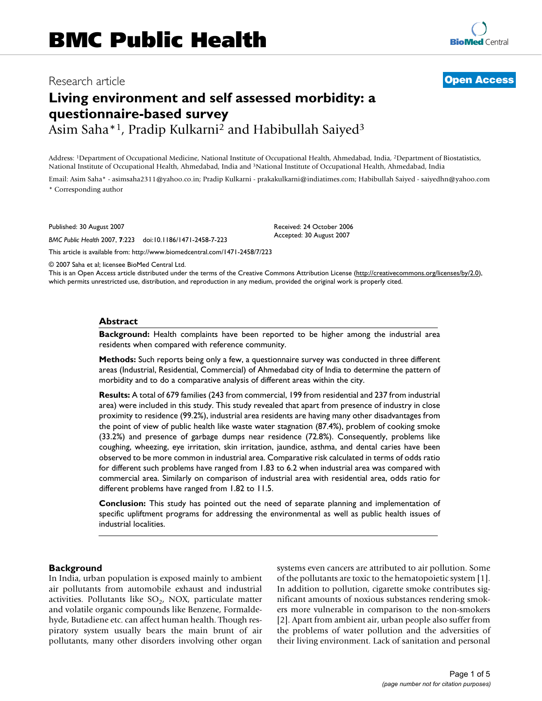# Research article **[Open Access](http://www.biomedcentral.com/info/about/charter/)**

# **Living environment and self assessed morbidity: a questionnaire-based survey** Asim Saha\*1, Pradip Kulkarni2 and Habibullah Saiyed3

Address: 1Department of Occupational Medicine, National Institute of Occupational Health, Ahmedabad, India, 2Department of Biostatistics, National Institute of Occupational Health, Ahmedabad, India and 3National Institute of Occupational Health, Ahmedabad, India

Email: Asim Saha\* - asimsaha2311@yahoo.co.in; Pradip Kulkarni - prakakulkarni@indiatimes.com; Habibullah Saiyed - saiyedhn@yahoo.com \* Corresponding author

Published: 30 August 2007

*BMC Public Health* 2007, **7**:223 doi:10.1186/1471-2458-7-223

[This article is available from: http://www.biomedcentral.com/1471-2458/7/223](http://www.biomedcentral.com/1471-2458/7/223)

Received: 24 October 2006 Accepted: 30 August 2007

© 2007 Saha et al; licensee BioMed Central Ltd.

This is an Open Access article distributed under the terms of the Creative Commons Attribution License [\(http://creativecommons.org/licenses/by/2.0\)](http://creativecommons.org/licenses/by/2.0), which permits unrestricted use, distribution, and reproduction in any medium, provided the original work is properly cited.

#### **Abstract**

**Background:** Health complaints have been reported to be higher among the industrial area residents when compared with reference community.

**Methods:** Such reports being only a few, a questionnaire survey was conducted in three different areas (Industrial, Residential, Commercial) of Ahmedabad city of India to determine the pattern of morbidity and to do a comparative analysis of different areas within the city.

**Results:** A total of 679 families (243 from commercial, 199 from residential and 237 from industrial area) were included in this study. This study revealed that apart from presence of industry in close proximity to residence (99.2%), industrial area residents are having many other disadvantages from the point of view of public health like waste water stagnation (87.4%), problem of cooking smoke (33.2%) and presence of garbage dumps near residence (72.8%). Consequently, problems like coughing, wheezing, eye irritation, skin irritation, jaundice, asthma, and dental caries have been observed to be more common in industrial area. Comparative risk calculated in terms of odds ratio for different such problems have ranged from 1.83 to 6.2 when industrial area was compared with commercial area. Similarly on comparison of industrial area with residential area, odds ratio for different problems have ranged from 1.82 to 11.5.

**Conclusion:** This study has pointed out the need of separate planning and implementation of specific upliftment programs for addressing the environmental as well as public health issues of industrial localities.

#### **Background**

In India, urban population is exposed mainly to ambient air pollutants from automobile exhaust and industrial activities. Pollutants like  $SO<sub>2</sub>$ , NOX, particulate matter and volatile organic compounds like Benzene, Formaldehyde, Butadiene etc. can affect human health. Though respiratory system usually bears the main brunt of air pollutants, many other disorders involving other organ systems even cancers are attributed to air pollution. Some of the pollutants are toxic to the hematopoietic system [1]. In addition to pollution, cigarette smoke contributes significant amounts of noxious substances rendering smokers more vulnerable in comparison to the non-smokers [2]. Apart from ambient air, urban people also suffer from the problems of water pollution and the adversities of their living environment. Lack of sanitation and personal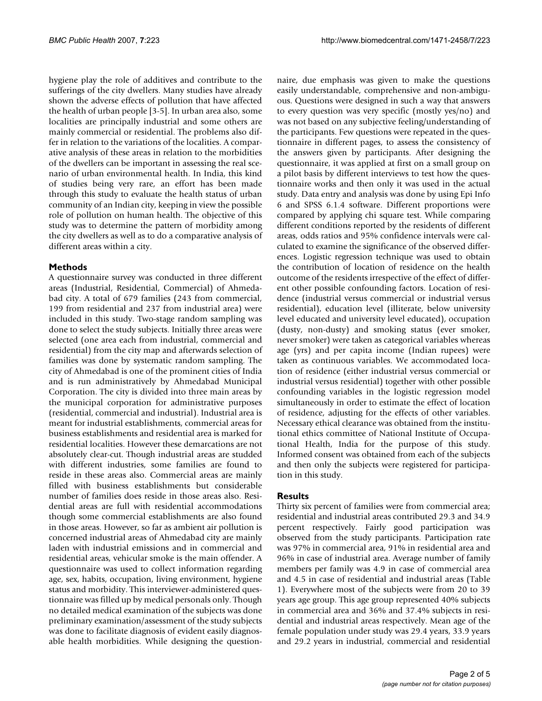hygiene play the role of additives and contribute to the sufferings of the city dwellers. Many studies have already shown the adverse effects of pollution that have affected the health of urban people [3-5]. In urban area also, some localities are principally industrial and some others are mainly commercial or residential. The problems also differ in relation to the variations of the localities. A comparative analysis of these areas in relation to the morbidities of the dwellers can be important in assessing the real scenario of urban environmental health. In India, this kind of studies being very rare, an effort has been made through this study to evaluate the health status of urban community of an Indian city, keeping in view the possible role of pollution on human health. The objective of this study was to determine the pattern of morbidity among the city dwellers as well as to do a comparative analysis of different areas within a city.

# **Methods**

A questionnaire survey was conducted in three different areas (Industrial, Residential, Commercial) of Ahmedabad city. A total of 679 families (243 from commercial, 199 from residential and 237 from industrial area) were included in this study. Two-stage random sampling was done to select the study subjects. Initially three areas were selected (one area each from industrial, commercial and residential) from the city map and afterwards selection of families was done by systematic random sampling. The city of Ahmedabad is one of the prominent cities of India and is run administratively by Ahmedabad Municipal Corporation. The city is divided into three main areas by the municipal corporation for administrative purposes (residential, commercial and industrial). Industrial area is meant for industrial establishments, commercial areas for business establishments and residential area is marked for residential localities. However these demarcations are not absolutely clear-cut. Though industrial areas are studded with different industries, some families are found to reside in these areas also. Commercial areas are mainly filled with business establishments but considerable number of families does reside in those areas also. Residential areas are full with residential accommodations though some commercial establishments are also found in those areas. However, so far as ambient air pollution is concerned industrial areas of Ahmedabad city are mainly laden with industrial emissions and in commercial and residential areas, vehicular smoke is the main offender. A questionnaire was used to collect information regarding age, sex, habits, occupation, living environment, hygiene status and morbidity. This interviewer-administered questionnaire was filled up by medical personals only. Though no detailed medical examination of the subjects was done preliminary examination/assessment of the study subjects was done to facilitate diagnosis of evident easily diagnosable health morbidities. While designing the questionnaire, due emphasis was given to make the questions easily understandable, comprehensive and non-ambiguous. Questions were designed in such a way that answers to every question was very specific (mostly yes/no) and was not based on any subjective feeling/understanding of the participants. Few questions were repeated in the questionnaire in different pages, to assess the consistency of the answers given by participants. After designing the questionnaire, it was applied at first on a small group on a pilot basis by different interviews to test how the questionnaire works and then only it was used in the actual study. Data entry and analysis was done by using Epi Info 6 and SPSS 6.1.4 software. Different proportions were compared by applying chi square test. While comparing different conditions reported by the residents of different areas, odds ratios and 95% confidence intervals were calculated to examine the significance of the observed differences. Logistic regression technique was used to obtain the contribution of location of residence on the health outcome of the residents irrespective of the effect of different other possible confounding factors. Location of residence (industrial versus commercial or industrial versus residential), education level (illiterate, below university level educated and university level educated), occupation (dusty, non-dusty) and smoking status (ever smoker, never smoker) were taken as categorical variables whereas age (yrs) and per capita income (Indian rupees) were taken as continuous variables. We accommodated location of residence (either industrial versus commercial or industrial versus residential) together with other possible confounding variables in the logistic regression model simultaneously in order to estimate the effect of location of residence, adjusting for the effects of other variables. Necessary ethical clearance was obtained from the institutional ethics committee of National Institute of Occupational Health, India for the purpose of this study. Informed consent was obtained from each of the subjects and then only the subjects were registered for participation in this study.

# **Results**

Thirty six percent of families were from commercial area; residential and industrial areas contributed 29.3 and 34.9 percent respectively. Fairly good participation was observed from the study participants. Participation rate was 97% in commercial area, 91% in residential area and 96% in case of industrial area. Average number of family members per family was 4.9 in case of commercial area and 4.5 in case of residential and industrial areas (Table 1). Everywhere most of the subjects were from 20 to 39 years age group. This age group represented 40% subjects in commercial area and 36% and 37.4% subjects in residential and industrial areas respectively. Mean age of the female population under study was 29.4 years, 33.9 years and 29.2 years in industrial, commercial and residential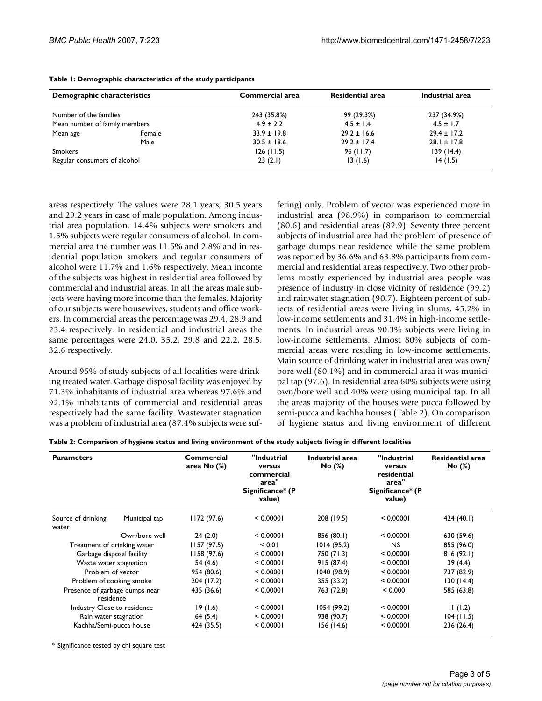| Demographic characteristics<br>Number of the families<br>Mean number of family members |        | Commercial area | <b>Residential area</b> | Industrial area<br>237 (34.9%)<br>$4.5 \pm 1.7$ |  |
|----------------------------------------------------------------------------------------|--------|-----------------|-------------------------|-------------------------------------------------|--|
|                                                                                        |        | 243 (35.8%)     | 199 (29.3%)             |                                                 |  |
|                                                                                        |        | $4.9 \pm 2.2$   | $4.5 \pm 1.4$           |                                                 |  |
| Mean age                                                                               | Female | $33.9 \pm 19.8$ | $29.2 \pm 16.6$         | $29.4 \pm 17.2$                                 |  |
|                                                                                        | Male   | $30.5 \pm 18.6$ | $29.2 \pm 17.4$         | $28.1 \pm 17.8$                                 |  |
| <b>Smokers</b>                                                                         |        | 126(11.5)       | 96 (11.7)               | 139(14.4)                                       |  |
| Regular consumers of alcohol                                                           |        | 23(2.1)         | 13(1.6)                 | 14(1.5)                                         |  |

#### **Table 1: Demographic characteristics of the study participants**

areas respectively. The values were 28.1 years, 30.5 years and 29.2 years in case of male population. Among industrial area population, 14.4% subjects were smokers and 1.5% subjects were regular consumers of alcohol. In commercial area the number was 11.5% and 2.8% and in residential population smokers and regular consumers of alcohol were 11.7% and 1.6% respectively. Mean income of the subjects was highest in residential area followed by commercial and industrial areas. In all the areas male subjects were having more income than the females. Majority of our subjects were housewives, students and office workers. In commercial areas the percentage was 29.4, 28.9 and 23.4 respectively. In residential and industrial areas the same percentages were 24.0, 35.2, 29.8 and 22.2, 28.5, 32.6 respectively.

Around 95% of study subjects of all localities were drinking treated water. Garbage disposal facility was enjoyed by 71.3% inhabitants of industrial area whereas 97.6% and 92.1% inhabitants of commercial and residential areas respectively had the same facility. Wastewater stagnation was a problem of industrial area (87.4% subjects were suffering) only. Problem of vector was experienced more in industrial area (98.9%) in comparison to commercial (80.6) and residential areas (82.9). Seventy three percent subjects of industrial area had the problem of presence of garbage dumps near residence while the same problem was reported by 36.6% and 63.8% participants from commercial and residential areas respectively. Two other problems mostly experienced by industrial area people was presence of industry in close vicinity of residence (99.2) and rainwater stagnation (90.7). Eighteen percent of subjects of residential areas were living in slums, 45.2% in low-income settlements and 31.4% in high-income settlements. In industrial areas 90.3% subjects were living in low-income settlements. Almost 80% subjects of commercial areas were residing in low-income settlements. Main source of drinking water in industrial area was own/ bore well (80.1%) and in commercial area it was municipal tap (97.6). In residential area 60% subjects were using own/bore well and 40% were using municipal tap. In all the areas majority of the houses were pucca followed by semi-pucca and kachha houses (Table 2). On comparison of hygiene status and living environment of different

| Table 2: Comparison of hygiene status and living environment of the study subjects living in different localities |  |
|-------------------------------------------------------------------------------------------------------------------|--|
|-------------------------------------------------------------------------------------------------------------------|--|

| <b>Parameters</b>                           |               | Commercial<br>area $No$ $(\%)$ | "Industrial<br>versus<br>commercial | Industrial area<br>No(%) | "Industrial<br>versus<br>residential | <b>Residential area</b><br>No(%) |
|---------------------------------------------|---------------|--------------------------------|-------------------------------------|--------------------------|--------------------------------------|----------------------------------|
|                                             |               |                                | area"<br>Significance* (P<br>value) |                          | area"<br>Significance* (P<br>value)  |                                  |
| Source of drinking<br>water                 | Municipal tap | 1172 (97.6)                    | < 0.00001                           | 208 (19.5)               | < 0.00001                            | 424 (40.1)                       |
|                                             | Own/bore well | 24(2.0)                        | < 0.00001                           | 856 (80.1)               | < 0.00001                            | 630 (59.6)                       |
| Treatment of drinking water                 |               | 1157(97.5)                     | < 0.01                              | 1014(95.2)               | <b>NS</b>                            | 855 (96.0)                       |
| Garbage disposal facility                   |               | 1158(97.6)                     | < 0.00001                           | 750 (71.3)               | < 0.00001                            | 816(92.1)                        |
| Waste water stagnation                      |               | 54 (4.6)                       | < 0.00001                           | 915(87.4)                | < 0.00001                            | 39 (4.4)                         |
| Problem of vector                           |               | 954 (80.6)                     | < 0.00001                           | 1040 (98.9)              | < 0.00001                            | 737 (82.9)                       |
| Problem of cooking smoke                    |               | 204 (17.2)                     | < 0.00001                           | 355 (33.2)               | < 0.00001                            | 130(14.4)                        |
| Presence of garbage dumps near<br>residence |               | 435 (36.6)                     | < 0.00001                           | 763 (72.8)               | < 0.0001                             | 585 (63.8)                       |
| Industry Close to residence                 |               | 19(1.6)                        | < 0.00001                           | 1054 (99.2)              | < 0.00001                            | 11(1.2)                          |
| Rain water stagnation                       |               | 64 (5.4)                       | < 0.00001                           | 938 (90.7)               | < 0.00001                            | 104(11.5)                        |
| Kachha/Semi-pucca house                     |               | 424 (35.5)                     | < 0.00001                           | 156 (14.6)               | < 0.00001                            | 236 (26.4)                       |

\* Significance tested by chi square test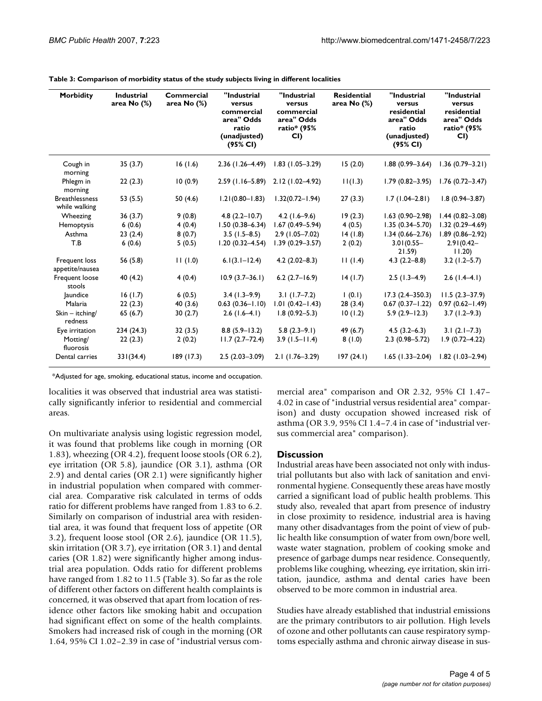| <b>Morbidity</b>                       | <b>Industrial</b><br>area No $(\%)$ | Commercial<br>area No $(\%)$ | "Industrial<br>versus<br>commercial<br>area" Odds<br>ratio<br>(unadjusted)<br>(95% CI) | "Industrial<br>versus<br>commercial<br>area" Odds<br>ratio* (95%<br>CI) | <b>Residential</b><br>area $No$ $(\%)$ | "Industrial<br>versus<br>residential<br>area" Odds<br>ratio<br>(unadjusted)<br>(95% CI) | "Industrial<br>versus<br>residential<br>area" Odds<br>ratio* (95%<br>CI) |
|----------------------------------------|-------------------------------------|------------------------------|----------------------------------------------------------------------------------------|-------------------------------------------------------------------------|----------------------------------------|-----------------------------------------------------------------------------------------|--------------------------------------------------------------------------|
| Cough in<br>morning                    | 35(3.7)                             | 16(1.6)                      | $2.36(1.26 - 4.49)$                                                                    | $1.83(1.05 - 3.29)$                                                     | 15(2.0)                                | $1.88(0.99 - 3.64)$                                                                     | $1.36(0.79 - 3.21)$                                                      |
| Phlegm in<br>morning                   | 22(2.3)                             | 10(0.9)                      | $2.59$ (1.16–5.89)                                                                     | $2.12(1.02 - 4.92)$                                                     | 11(1.3)                                | $1.79(0.82 - 3.95)$                                                                     | $1.76(0.72 - 3.47)$                                                      |
| <b>Breathlessness</b><br>while walking | 53 (5.5)                            | 50 (4.6)                     | $1.21(0.80 - 1.83)$                                                                    | $1.32(0.72 - 1.94)$                                                     | 27(3.3)                                | $1.7(1.04 - 2.81)$                                                                      | $1.8(0.94 - 3.87)$                                                       |
| Wheezing                               | 36(3.7)                             | 9(0.8)                       | $4.8(2.2 - 10.7)$                                                                      | $4.2(1.6-9.6)$                                                          | 19(2.3)                                | $1.63(0.90 - 2.98)$                                                                     | $1.44(0.82 - 3.08)$                                                      |
| Hemoptysis                             | 6(0.6)                              | 4(0.4)                       | $1.50(0.38 - 6.34)$                                                                    | $1.67(0.49 - 5.94)$                                                     | 4(0.5)                                 | $1.35(0.34 - 5.70)$                                                                     | $1.32(0.29 - 4.69)$                                                      |
| Asthma                                 | 23(2.4)                             | 8(0.7)                       | $3.5(1.5-8.5)$                                                                         | $2.9(1.05 - 7.02)$                                                      | 14(1.8)                                | $1.34(0.66 - 2.76)$                                                                     | $1.89(0.86 - 2.92)$                                                      |
| T.B                                    | 6(0.6)                              | 5(0.5)                       | $1.20(0.32 - 4.54)$                                                                    | $1.39(0.29 - 3.57)$                                                     | 2(0.2)                                 | $3.01(0.55 -$<br>21.59                                                                  | $2.91(0.42 -$<br>11.20                                                   |
| Frequent loss<br>appetite/nausea       | 56 (5.8)                            | 11(1.0)                      | $6.1(3.1-12.4)$                                                                        | $4.2(2.02 - 8.3)$                                                       | 11(1.4)                                | $4.3(2.2 - 8.8)$                                                                        | $3.2$ (1.2-5.7)                                                          |
| Frequent loose<br>stools               | 40(4.2)                             | 4(0.4)                       | $10.9(3.7 - 36.1)$                                                                     | $6.2$ (2.7-16.9)                                                        | 14(1.7)                                | $2.5(1.3-4.9)$                                                                          | $2.6$ (1.4–4.1)                                                          |
| Jaundice                               | 16(1.7)                             | 6(0.5)                       | $3.4(1.3-9.9)$                                                                         | $3.1(1.7-7.2)$                                                          | 1(0.1)                                 | $17.3(2.4 - 350.3)$                                                                     | $11.5(2.3 - 37.9)$                                                       |
| Malaria                                | 22(2.3)                             | 40(3.6)                      | $0.63(0.36 - 1.10)$                                                                    | $1.01(0.42 - 1.43)$                                                     | 28(3.4)                                | $0.67(0.37 - 1.22)$                                                                     | $0.97(0.62 - 1.49)$                                                      |
| $Skin - itching/$<br>redness           | 65(6.7)                             | 30(2.7)                      | $2.6$ (1.6–4.1)                                                                        | $1.8(0.92 - 5.3)$                                                       | 10(1.2)                                | $5.9(2.9-12.3)$                                                                         | $3.7(1.2 - 9.3)$                                                         |
| Eye irritation                         | 234 (24.3)                          | 32(3.5)                      | $8.8(5.9 - 13.2)$                                                                      | $5.8(2.3-9.1)$                                                          | 49(6.7)                                | $4.5(3.2 - 6.3)$                                                                        | $3.1(2.1 - 7.3)$                                                         |
| Motting/<br>fluorosis                  | 22(2.3)                             | 2(0.2)                       | $11.7(2.7 - 72.4)$                                                                     | $3.9$ (1.5-11.4)                                                        | $(0.1)$ 8                              | $2.3(0.98 - 5.72)$                                                                      | $1.9(0.72 - 4.22)$                                                       |
| Dental carries                         | 331(34.4)                           | 189(17.3)                    | $2.5(2.03 - 3.09)$                                                                     | $2.1(1.76-3.29)$                                                        | 197(24.1)                              | $1.65(1.33 - 2.04)$                                                                     | $1.82$ (1.03-2.94)                                                       |

**Table 3: Comparison of morbidity status of the study subjects living in different localities**

\*Adjusted for age, smoking, educational status, income and occupation.

localities it was observed that industrial area was statistically significantly inferior to residential and commercial areas.

On multivariate analysis using logistic regression model, it was found that problems like cough in morning (OR 1.83), wheezing (OR 4.2), frequent loose stools (OR 6.2), eye irritation (OR 5.8), jaundice (OR 3.1), asthma (OR 2.9) and dental caries (OR 2.1) were significantly higher in industrial population when compared with commercial area. Comparative risk calculated in terms of odds ratio for different problems have ranged from 1.83 to 6.2. Similarly on comparison of industrial area with residential area, it was found that frequent loss of appetite (OR 3.2), frequent loose stool (OR 2.6), jaundice (OR 11.5), skin irritation (OR 3.7), eye irritation (OR 3.1) and dental caries (OR 1.82) were significantly higher among industrial area population. Odds ratio for different problems have ranged from 1.82 to 11.5 (Table 3). So far as the role of different other factors on different health complaints is concerned, it was observed that apart from location of residence other factors like smoking habit and occupation had significant effect on some of the health complaints. Smokers had increased risk of cough in the morning (OR 1.64, 95% CI 1.02–2.39 in case of "industrial versus commercial area" comparison and OR 2.32, 95% CI 1.47– 4.02 in case of "industrial versus residential area" comparison) and dusty occupation showed increased risk of asthma (OR 3.9, 95% CI 1.4–7.4 in case of "industrial versus commercial area" comparison).

### **Discussion**

Industrial areas have been associated not only with industrial pollutants but also with lack of sanitation and environmental hygiene. Consequently these areas have mostly carried a significant load of public health problems. This study also, revealed that apart from presence of industry in close proximity to residence, industrial area is having many other disadvantages from the point of view of public health like consumption of water from own/bore well, waste water stagnation, problem of cooking smoke and presence of garbage dumps near residence. Consequently, problems like coughing, wheezing, eye irritation, skin irritation, jaundice, asthma and dental caries have been observed to be more common in industrial area.

Studies have already established that industrial emissions are the primary contributors to air pollution. High levels of ozone and other pollutants can cause respiratory symptoms especially asthma and chronic airway disease in sus-